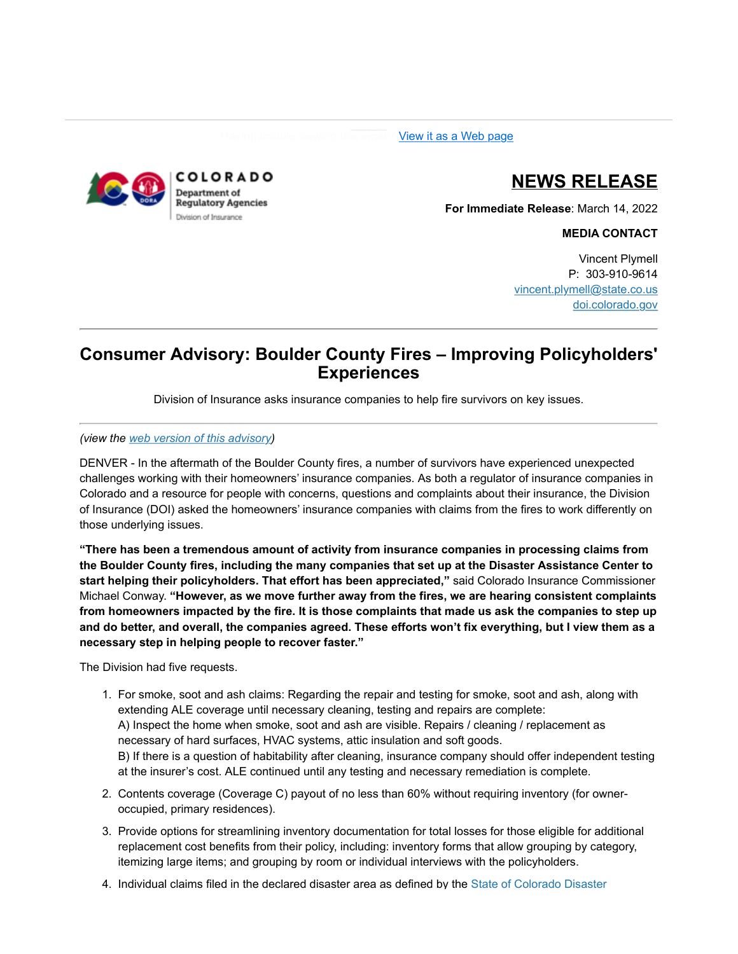[View it as a Web page](https://lnks.gd/l/eyJhbGciOiJIUzI1NiJ9.eyJidWxsZXRpbl9saW5rX2lkIjoxMDAsInVyaSI6ImJwMjpjbGljayIsImJ1bGxldGluX2lkIjoiMjAyMjAzMTQuNTQ5MDg3ODEiLCJ1cmwiOiJodHRwczovL2NvbnRlbnQuZ292ZGVsaXZlcnkuY29tL2FjY291bnRzL0NPRE9SQS9idWxsZXRpbnMvMzBkYTBmZiJ9.Hufa0yXWWVxfX8Mkt2Yd9YDSuFPjyxof4Awsey-TJSg/s/2157485435/br/128079537240-l).



# **NEWS RELEASE**

**For Immediate Release**: March 14, 2022

**MEDIA CONTACT**

Vincent Plymell P: 303-910-9614 [vincent.plymell@state.co.us](mailto:REBECCA.LAURIE@STATE.CO.US) [doi.colorado.gov](https://lnks.gd/l/eyJhbGciOiJIUzI1NiJ9.eyJidWxsZXRpbl9saW5rX2lkIjoxMDEsInVyaSI6ImJwMjpjbGljayIsImJ1bGxldGluX2lkIjoiMjAyMjAzMTQuNTQ5MDg3ODEiLCJ1cmwiOiJodHRwczovL2RvaS5jb2xvcmFkby5nb3YvaG9tZT91dG1fbWVkaXVtPWVtYWlsJnV0bV9zb3VyY2U9Z292ZGVsaXZlcnkifQ.L29awrF17raoPWpss1xPbXTAfkL8nzvYuiRyMmIxraw/s/2157485435/br/128079537240-l)

## **Consumer Advisory: Boulder County Fires – Improving Policyholders' Experiences**

Division of Insurance asks insurance companies to help fire survivors on key issues.

#### *(view the [web version of this advisory](https://lnks.gd/l/eyJhbGciOiJIUzI1NiJ9.eyJidWxsZXRpbl9saW5rX2lkIjoxMDIsInVyaSI6ImJwMjpjbGljayIsImJ1bGxldGluX2lkIjoiMjAyMjAzMTQuNTQ5MDg3ODEiLCJ1cmwiOiJodHRwczovL2RvaS5jb2xvcmFkby5nb3YvbmV3cy1yZWxlYXNlcy1jb25zdW1lci1hZHZpc29yaWVzL2NvbnN1bWVyLWFkdmlzb3J5LWJvdWxkZXItY291bnR5LWZpcmVzLWltcHJvdmluZy1wb2xpY3lob2xkZXJzP3V0bV9tZWRpdW09ZW1haWwmdXRtX3NvdXJjZT1nb3ZkZWxpdmVyeSJ9.Wwz_aXeoF7I22LLUYeBwm5cF0Dmoboh7o0buwclsVQU/s/2157485435/br/128079537240-l))*

DENVER - In the aftermath of the Boulder County fires, a number of survivors have experienced unexpected challenges working with their homeowners' insurance companies. As both a regulator of insurance companies in Colorado and a resource for people with concerns, questions and complaints about their insurance, the Division of Insurance (DOI) asked the homeowners' insurance companies with claims from the fires to work differently on those underlying issues.

**"There has been a tremendous amount of activity from insurance companies in processing claims from the Boulder County fires, including the many companies that set up at the Disaster Assistance Center to start helping their policyholders. That effort has been appreciated,"** said Colorado Insurance Commissioner Michael Conway. **"However, as we move further away from the fires, we are hearing consistent complaints from homeowners impacted by the fire. It is those complaints that made us ask the companies to step up and do better, and overall, the companies agreed. These efforts won't fix everything, but I view them as a necessary step in helping people to recover faster."** 

The Division had five requests.

- 1. For smoke, soot and ash claims: Regarding the repair and testing for smoke, soot and ash, along with extending ALE coverage until necessary cleaning, testing and repairs are complete: A) Inspect the home when smoke, soot and ash are visible. Repairs / cleaning / replacement as necessary of hard surfaces, HVAC systems, attic insulation and soft goods. B) If there is a question of habitability after cleaning, insurance company should offer independent testing at the insurer's cost. ALE continued until any testing and necessary remediation is complete.
- 2. Contents coverage (Coverage C) payout of no less than 60% without requiring inventory (for owneroccupied, primary residences).
- 3. Provide options for streamlining inventory documentation for total losses for those eligible for additional replacement cost benefits from their policy, including: inventory forms that allow grouping by category, itemizing large items; and grouping by room or individual interviews with the policyholders.
- 4. [Individual claims filed in the declared disaster area as defined by the State of Colorado Disaster](https://lnks.gd/l/eyJhbGciOiJIUzI1NiJ9.eyJidWxsZXRpbl9saW5rX2lkIjoxMDMsInVyaSI6ImJwMjpjbGljayIsImJ1bGxldGluX2lkIjoiMjAyMjAzMTQuNTQ5MDg3ODEiLCJ1cmwiOiJodHRwczovL2RyaXZlLmdvb2dsZS5jb20vZmlsZS9kLzFtR29PNWo2S1VJTV8xMm5XV3NRaFRuVmZsNG5rZDlvNy92aWV3P3V0bV9tZWRpdW09ZW1haWwmdXRtX3NvdXJjZT1nb3ZkZWxpdmVyeSJ9.kqgUxzyy8PjeoufoLYZkp22OM7em6z6jg-QJ8KXcDjs/s/2157485435/br/128079537240-l)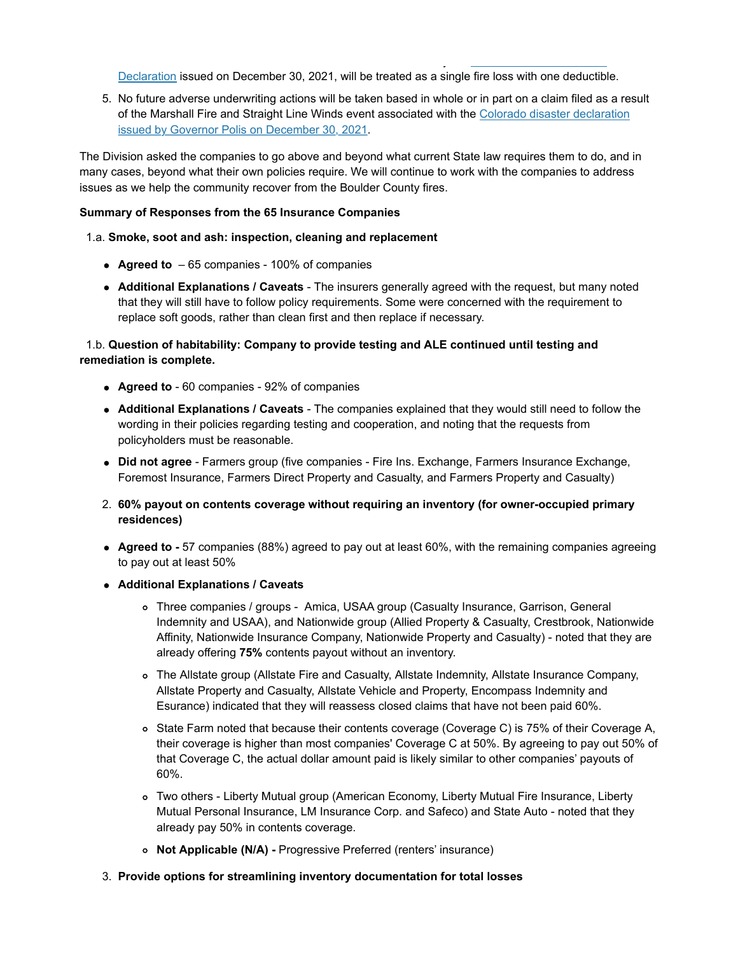[Declaration issued on December 30, 2021, will be treated as a single fire loss with one deductibl](https://lnks.gd/l/eyJhbGciOiJIUzI1NiJ9.eyJidWxsZXRpbl9saW5rX2lkIjoxMDMsInVyaSI6ImJwMjpjbGljayIsImJ1bGxldGluX2lkIjoiMjAyMjAzMTQuNTQ5MDg3ODEiLCJ1cmwiOiJodHRwczovL2RyaXZlLmdvb2dsZS5jb20vZmlsZS9kLzFtR29PNWo2S1VJTV8xMm5XV3NRaFRuVmZsNG5rZDlvNy92aWV3P3V0bV9tZWRpdW09ZW1haWwmdXRtX3NvdXJjZT1nb3ZkZWxpdmVyeSJ9.kqgUxzyy8PjeoufoLYZkp22OM7em6z6jg-QJ8KXcDjs/s/2157485435/br/128079537240-l)e.

4. Individual claims filed in the declared disaster area as defined by the State of Colorado Disaster

5. No future adverse underwriting actions will be taken based in whole or in part on a claim filed as a result [of the Marshall Fire and Straight Line Winds event associated with the Colorado disaster declaration](https://lnks.gd/l/eyJhbGciOiJIUzI1NiJ9.eyJidWxsZXRpbl9saW5rX2lkIjoxMDQsInVyaSI6ImJwMjpjbGljayIsImJ1bGxldGluX2lkIjoiMjAyMjAzMTQuNTQ5MDg3ODEiLCJ1cmwiOiJodHRwczovL2RyaXZlLmdvb2dsZS5jb20vZmlsZS9kLzFtR29PNWo2S1VJTV8xMm5XV3NRaFRuVmZsNG5rZDlvNy92aWV3P3V0bV9tZWRpdW09ZW1haWwmdXRtX3NvdXJjZT1nb3ZkZWxpdmVyeSJ9.NfVaostFrI1w4iJKX15wyw2sjTBu7AHOGOYeQh7z3Bo/s/2157485435/br/128079537240-l) issued by Governor Polis on December 30, 2021.

The Division asked the companies to go above and beyond what current State law requires them to do, and in many cases, beyond what their own policies require. We will continue to work with the companies to address issues as we help the community recover from the Boulder County fires.

## **Summary of Responses from the 65 Insurance Companies**

## 1.a. **Smoke, soot and ash: inspection, cleaning and replacement**

- **Agreed to**  65 companies 100% of companies
- **Additional Explanations / Caveats**  The insurers generally agreed with the request, but many noted that they will still have to follow policy requirements. Some were concerned with the requirement to replace soft goods, rather than clean first and then replace if necessary.

## 1.b. **Question of habitability: Company to provide testing and ALE continued until testing and remediation is complete.**

- **Agreed to** 60 companies 92% of companies
- **Additional Explanations / Caveats**  The companies explained that they would still need to follow the wording in their policies regarding testing and cooperation, and noting that the requests from policyholders must be reasonable.
- **Did not agree** Farmers group (five companies Fire Ins. Exchange, Farmers Insurance Exchange, Foremost Insurance, Farmers Direct Property and Casualty, and Farmers Property and Casualty)
- 2. **60% payout on contents coverage without requiring an inventory (for owner-occupied primary residences)**
- Agreed to 57 companies (88%) agreed to pay out at least 60%, with the remaining companies agreeing to pay out at least 50%
- **Additional Explanations / Caveats** 
	- Three companies / groups Amica, USAA group (Casualty Insurance, Garrison, General Indemnity and USAA), and Nationwide group (Allied Property & Casualty, Crestbrook, Nationwide Affinity, Nationwide Insurance Company, Nationwide Property and Casualty) - noted that they are already offering **75%** contents payout without an inventory.
	- The Allstate group (Allstate Fire and Casualty, Allstate Indemnity, Allstate Insurance Company, Allstate Property and Casualty, Allstate Vehicle and Property, Encompass Indemnity and Esurance) indicated that they will reassess closed claims that have not been paid 60%.
	- o State Farm noted that because their contents coverage (Coverage C) is 75% of their Coverage A, their coverage is higher than most companies' Coverage C at 50%. By agreeing to pay out 50% of that Coverage C, the actual dollar amount paid is likely similar to other companies' payouts of 60%.
	- Two others Liberty Mutual group (American Economy, Liberty Mutual Fire Insurance, Liberty Mutual Personal Insurance, LM Insurance Corp. and Safeco) and State Auto - noted that they already pay 50% in contents coverage.
	- **Not Applicable (N/A)** Progressive Preferred (renters' insurance)

#### 3. **Provide options for streamlining inventory documentation for total losses**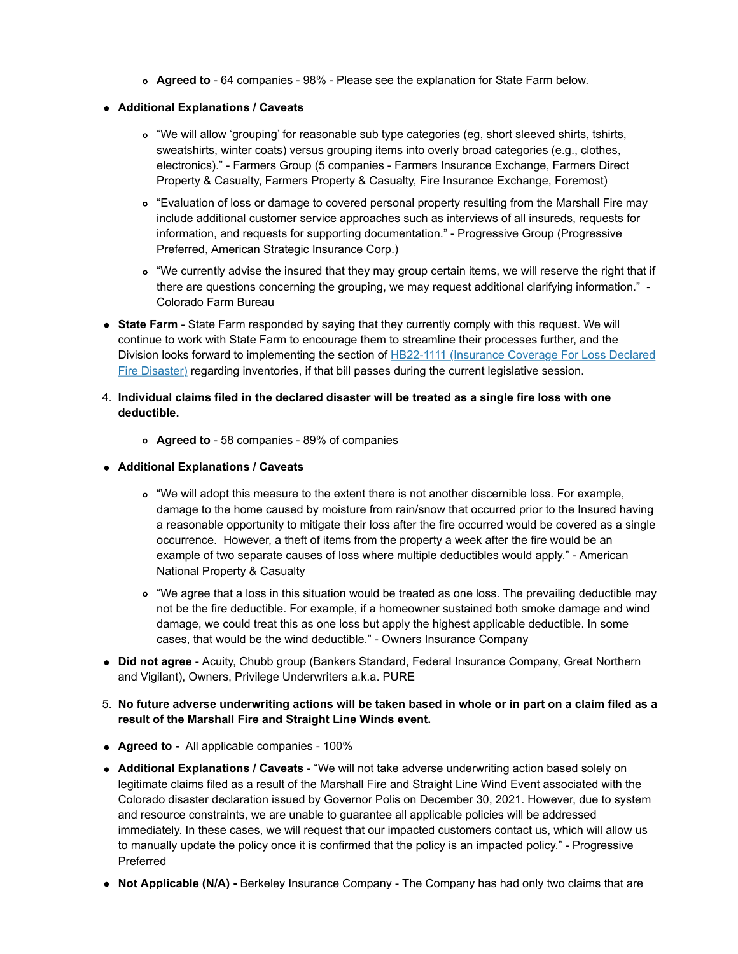- **Agreed to** 64 companies 98% Please see the explanation for State Farm below.
- **Additional Explanations / Caveats**
	- "We will allow 'grouping' for reasonable sub type categories (eg, short sleeved shirts, tshirts, sweatshirts, winter coats) versus grouping items into overly broad categories (e.g., clothes, electronics)." - Farmers Group (5 companies - Farmers Insurance Exchange, Farmers Direct Property & Casualty, Farmers Property & Casualty, Fire Insurance Exchange, Foremost)
	- "Evaluation of loss or damage to covered personal property resulting from the Marshall Fire may include additional customer service approaches such as interviews of all insureds, requests for information, and requests for supporting documentation." - Progressive Group (Progressive Preferred, American Strategic Insurance Corp.)
	- "We currently advise the insured that they may group certain items, we will reserve the right that if there are questions concerning the grouping, we may request additional clarifying information." - Colorado Farm Bureau
- **State Farm**  State Farm responded by saying that they currently comply with this request. We will continue to work with State Farm to encourage them to streamline their processes further, and the [Division looks forward to implementing the section of HB22-1111 \(Insurance Coverage For Loss Declared](https://lnks.gd/l/eyJhbGciOiJIUzI1NiJ9.eyJidWxsZXRpbl9saW5rX2lkIjoxMDUsInVyaSI6ImJwMjpjbGljayIsImJ1bGxldGluX2lkIjoiMjAyMjAzMTQuNTQ5MDg3ODEiLCJ1cmwiOiJodHRwczovL2xlZy5jb2xvcmFkby5nb3YvYmlsbHMvaGIyMi0xMTExP3V0bV9tZWRpdW09ZW1haWwmdXRtX3NvdXJjZT1nb3ZkZWxpdmVyeSJ9.GwEqdVGe-J9NkhzfsXpIFc1WbsbXN-IboqNYUBQDZAw/s/2157485435/br/128079537240-l) Fire Disaster) regarding inventories, if that bill passes during the current legislative session.
- 4. **Individual claims filed in the declared disaster will be treated as a single fire loss with one deductible.**
	- **Agreed to** 58 companies 89% of companies
- **Additional Explanations / Caveats**
	- "We will adopt this measure to the extent there is not another discernible loss. For example, damage to the home caused by moisture from rain/snow that occurred prior to the Insured having a reasonable opportunity to mitigate their loss after the fire occurred would be covered as a single occurrence. However, a theft of items from the property a week after the fire would be an example of two separate causes of loss where multiple deductibles would apply." - American National Property & Casualty
	- "We agree that a loss in this situation would be treated as one loss. The prevailing deductible may not be the fire deductible. For example, if a homeowner sustained both smoke damage and wind damage, we could treat this as one loss but apply the highest applicable deductible. In some cases, that would be the wind deductible." - Owners Insurance Company
- **Did not agree** Acuity, Chubb group (Bankers Standard, Federal Insurance Company, Great Northern and Vigilant), Owners, Privilege Underwriters a.k.a. PURE
- 5. **No future adverse underwriting actions will be taken based in whole or in part on a claim filed as a result of the Marshall Fire and Straight Line Winds event.**
- **Agreed to** All applicable companies 100%
- **Additional Explanations / Caveats**  "We will not take adverse underwriting action based solely on legitimate claims filed as a result of the Marshall Fire and Straight Line Wind Event associated with the Colorado disaster declaration issued by Governor Polis on December 30, 2021. However, due to system and resource constraints, we are unable to guarantee all applicable policies will be addressed immediately. In these cases, we will request that our impacted customers contact us, which will allow us to manually update the policy once it is confirmed that the policy is an impacted policy." - Progressive Preferred
- Not Applicable (N/A) Berkeley Insurance Company The Company has had only two claims that are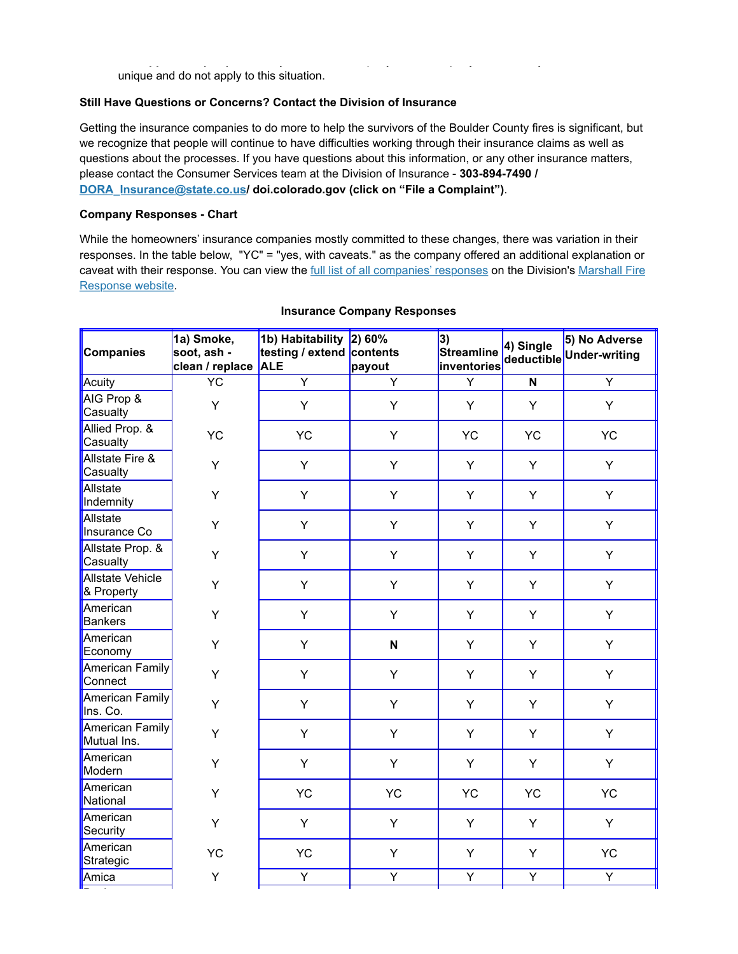**Not Applicable (N/A) -** Berkeley Insurance Company - The Company has had only two claims that are unique and do not apply to this situation.

## **Still Have Questions or Concerns? Contact the Division of Insurance**

Getting the insurance companies to do more to help the survivors of the Boulder County fires is significant, but we recognize that people will continue to have difficulties working through their insurance claims as well as questions about the processes. If you have questions about this information, or any other insurance matters, please contact the Consumer Services team at the Division of Insurance - **303-894-7490 / [DORA\\_Insurance@state.co.us](mailto:DORA_Insurance@state.co.us)/ doi.colorado.gov (click on "File a Complaint")**.

## **Company Responses - Chart**

While the homeowners' insurance companies mostly committed to these changes, there was variation in their responses. In the table below, "YC" = "yes, with caveats." as the company offered an additional explanation or [caveat with their response. You can view the f](https://lnks.gd/l/eyJhbGciOiJIUzI1NiJ9.eyJidWxsZXRpbl9saW5rX2lkIjoxMDcsInVyaSI6ImJwMjpjbGljayIsImJ1bGxldGluX2lkIjoiMjAyMjAzMTQuNTQ5MDg3ODEiLCJ1cmwiOiJodHRwczovL2RvaS5jb2xvcmFkby5nb3YvbWFyc2hhbGwtZmlyZS1yZXNwb25zZT91dG1fbWVkaXVtPWVtYWlsJnV0bV9zb3VyY2U9Z292ZGVsaXZlcnkifQ.f9Xx6sLPEpXzSokdNRsUn1sQHl0b8tX88-81fBDAAJs/s/2157485435/br/128079537240-l)[ull list of all companies' response](https://lnks.gd/l/eyJhbGciOiJIUzI1NiJ9.eyJidWxsZXRpbl9saW5rX2lkIjoxMDYsInVyaSI6ImJwMjpjbGljayIsImJ1bGxldGluX2lkIjoiMjAyMjAzMTQuNTQ5MDg3ODEiLCJ1cmwiOiJodHRwczovL2RvY3MuZ29vZ2xlLmNvbS9zcHJlYWRzaGVldHMvZC8xNlFaQ28yVUNKNGQ1d1lUZGxuX3FmSnhERTVpOE1hNWJaejhIa1hiMmRIUS9lZGl0P3VzcD1zaGFyaW5nJnV0bV9tZWRpdW09ZW1haWwmdXRtX3NvdXJjZT1nb3ZkZWxpdmVyeSJ9.BHdpxrnLsV9jsgrrK-MsMIeUAlBuqeLi4lxBvAiQV2A/s/2157485435/br/128079537240-l)[s on the Division's Marshall Fire](https://lnks.gd/l/eyJhbGciOiJIUzI1NiJ9.eyJidWxsZXRpbl9saW5rX2lkIjoxMDcsInVyaSI6ImJwMjpjbGljayIsImJ1bGxldGluX2lkIjoiMjAyMjAzMTQuNTQ5MDg3ODEiLCJ1cmwiOiJodHRwczovL2RvaS5jb2xvcmFkby5nb3YvbWFyc2hhbGwtZmlyZS1yZXNwb25zZT91dG1fbWVkaXVtPWVtYWlsJnV0bV9zb3VyY2U9Z292ZGVsaXZlcnkifQ.f9Xx6sLPEpXzSokdNRsUn1sQHl0b8tX88-81fBDAAJs/s/2157485435/br/128079537240-l) Response website.

| <b>Companies</b>                      | 1a) Smoke,<br>soot, ash -<br>clean / replace | 1b) Habitability<br>testing / extend contents<br><b>ALE</b> | 2) 60%<br>payout | 3)<br><b>Streamline</b><br>inventories | 4) Single | 5) No Adverse<br>deductible Under-writing |
|---------------------------------------|----------------------------------------------|-------------------------------------------------------------|------------------|----------------------------------------|-----------|-------------------------------------------|
| Acuity                                | YC                                           | $\overline{\mathsf{Y}}$                                     | Y                | Y                                      | N.        | $\overline{Y}$                            |
| AIG Prop &<br>Casualty                | Y                                            | Y                                                           | Y                | Y                                      | Y         | Y                                         |
| Allied Prop. &<br>Casualty            | YC                                           | YC                                                          | Y                | <b>YC</b>                              | <b>YC</b> | <b>YC</b>                                 |
| Allstate Fire &<br>Casualty           | Y                                            | Y                                                           | Y                | Y                                      | Y         | Y                                         |
| Allstate<br>Indemnity                 | Y                                            | Y                                                           | Y                | Υ                                      | Y         | Y                                         |
| Allstate<br>Insurance Co              | Υ                                            | Y                                                           | Y                | Υ                                      | Y         | Υ                                         |
| Allstate Prop. &<br>Casualty          | Y                                            | Y                                                           | Y                | Y                                      | Y         | Y                                         |
| <b>Allstate Vehicle</b><br>& Property | Y                                            | Y                                                           | Y                | Υ                                      | Y         | Y                                         |
| American<br><b>Bankers</b>            | Υ                                            | Y                                                           | Υ                | Υ                                      | Y         | Y                                         |
| American<br>Economy                   | Y                                            | Y                                                           | $\mathbf N$      | Υ                                      | Y         | Υ                                         |
| American Family<br>Connect            | Y                                            | Y                                                           | Y                | Υ                                      | Y         | Υ                                         |
| <b>American Family</b><br>Ins. Co.    | Y                                            | Y                                                           | Y                | Y                                      | Y         | Y                                         |
| American Family<br>Mutual Ins.        | Y                                            | Y                                                           | Y                | Y                                      | Y         | Υ                                         |
| American<br>Modern                    | Y                                            | Y                                                           | Y                | Y                                      | Y         | Y                                         |
| American<br>National                  | Y                                            | <b>YC</b>                                                   | <b>YC</b>        | <b>YC</b>                              | <b>YC</b> | <b>YC</b>                                 |
| American<br>Security                  | Υ                                            | Y                                                           | Υ                | Υ                                      | Y         | Y                                         |
| American<br>Strategic                 | YC                                           | <b>YC</b>                                                   | Y                | Υ                                      | Y         | <b>YC</b>                                 |
| Amica                                 | Υ                                            | $\overline{Y}$                                              | Y                | Y                                      | Y         | Y                                         |

#### **Insurance Company Responses**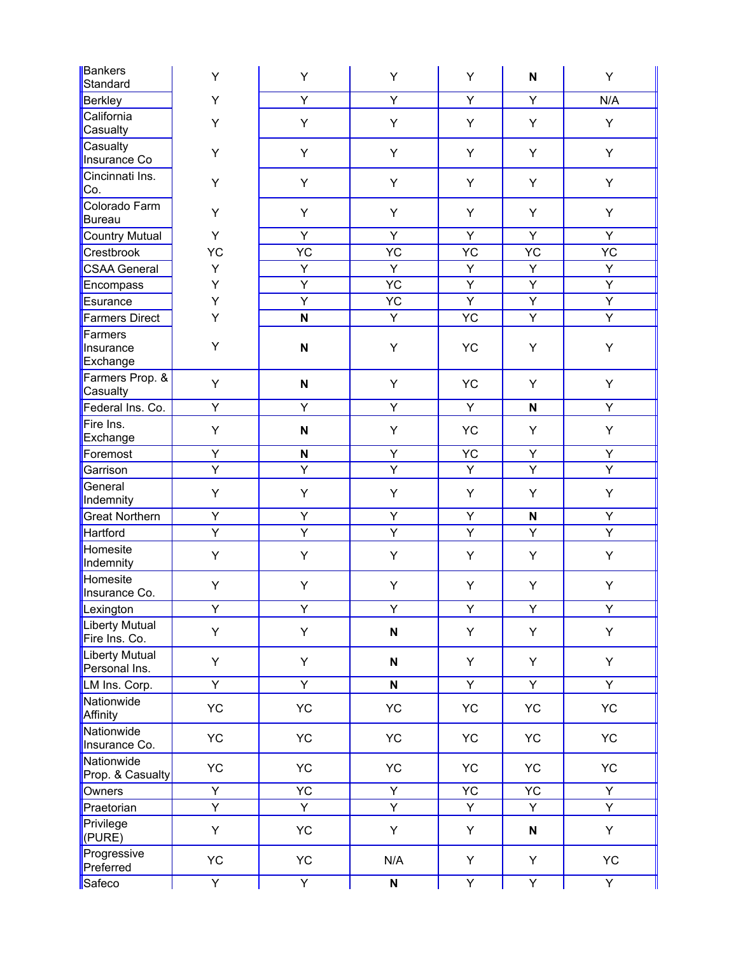| Bankers<br>Standard                    | Υ              | Υ                         | Υ                         | Υ              | $\boldsymbol{\mathsf{N}}$ | Υ              |
|----------------------------------------|----------------|---------------------------|---------------------------|----------------|---------------------------|----------------|
| <b>Berkley</b>                         | Υ              | $\overline{Y}$            | $\overline{Y}$            | $\overline{Y}$ | Y                         | N/A            |
| California<br>Casualty                 | Υ              | Υ                         | Υ                         | Υ              | Y                         | Y              |
| Casualty<br>Insurance Co               | Υ              | Y                         | Υ                         | Y              | Y                         | Y              |
| Cincinnati Ins.<br>Co.                 | Υ              | Y                         | Υ                         | Y              | Y                         | Υ              |
| Colorado Farm<br><b>Bureau</b>         | Υ              | Y                         | Υ                         | Υ              | Y                         | Y              |
| <b>Country Mutual</b>                  | Y              | $\overline{Y}$            | $\overline{Y}$            | $\overline{Y}$ | $\overline{Y}$            | Y              |
| Crestbrook                             | YC             | YC                        | YC                        | YC             | YC                        | YC             |
| <b>CSAA General</b>                    | Y              | $\overline{Y}$            | Y                         | Υ              | Y                         | Y              |
| Encompass                              | Υ              | $\overline{Y}$            | <b>YC</b>                 | Y              | Y                         | Y              |
| Esurance                               | Υ              | $\overline{Y}$            | <b>YC</b>                 | $\overline{Y}$ | $\overline{Y}$            | $\overline{Y}$ |
| <b>Farmers Direct</b>                  | Y              | $\overline{\mathsf{N}}$   | Υ                         | <b>YC</b>      | $\overline{Y}$            | $\overline{Y}$ |
| Farmers<br>Insurance<br>Exchange       | Y              | $\boldsymbol{\mathsf{N}}$ | Υ                         | <b>YC</b>      | Y                         | Υ              |
| Farmers Prop. &<br>Casualty            | Υ              | N                         | Υ                         | <b>YC</b>      | Y                         | Υ              |
| Federal Ins. Co.                       | Y              | Y                         | Y                         | Y.             | N                         | Y              |
| Fire Ins.<br>Exchange                  | Y              | $\boldsymbol{\mathsf{N}}$ | Υ                         | <b>YC</b>      | Y                         | Y              |
| Foremost                               | $\overline{Y}$ | N                         | Υ                         | YC.            | Y                         | Y              |
| Garrison                               | $\overline{Y}$ | Υ                         | $\overline{Y}$            | Υ              | Υ                         | $\overline{Y}$ |
| General<br>Indemnity                   | Υ              | Υ                         | Υ                         | Υ              | Y                         | Υ              |
| <b>Great Northern</b>                  | Y              | Y                         | Υ                         | Y              | N                         | Y              |
| Hartford                               | $\overline{Y}$ | $\overline{Y}$            | $\overline{Y}$            | $\overline{Y}$ | Y                         | $\overline{Y}$ |
| Homesite<br>Indemnity                  | Υ              | Υ                         | Υ                         | Υ              | Y                         | Υ              |
| Homesite<br>Insurance Co.              | Υ              | Υ                         | Υ                         | Y              | Y                         | Υ              |
| Lexington                              | Υ              | Υ                         | Υ                         | Υ              | Y                         | Υ              |
| <b>Liberty Mutual</b><br>Fire Ins. Co. | Y              | Y                         | $\boldsymbol{\mathsf{N}}$ | Υ              | Y                         | Υ              |
| <b>Liberty Mutual</b><br>Personal Ins. | Y              | Y                         | ${\bf N}$                 | Y              | Y                         | Y              |
| LM Ins. Corp.                          | $\overline{Y}$ | $\overline{Y}$            | $\boldsymbol{\mathsf{N}}$ | Y              | Y                         | Y              |
| Nationwide<br>Affinity                 | YC.            | <b>YC</b>                 | <b>YC</b>                 | <b>YC</b>      | YC                        | <b>YC</b>      |
| Nationwide<br>Insurance Co.            | YC             | YC.                       | <b>YC</b>                 | <b>YC</b>      | YC.                       | YC.            |
| Nationwide<br>Prop. & Casualty         | <b>YC</b>      | <b>YC</b>                 | <b>YC</b>                 | YC             | YC                        | <b>YC</b>      |
| Owners                                 | Y              | YC.                       | Y                         | YC             | <b>YC</b>                 | Y              |
| Praetorian                             | $\overline{Y}$ | $\overline{Y}$            | $\overline{Y}$            | Y              | Y                         | $\overline{Y}$ |
| Privilege<br>(PURE)                    | Y              | <b>YC</b>                 | Υ                         | Υ              | N                         | Υ              |
| Progressive<br>Preferred               | <b>YC</b>      | <b>YC</b>                 | N/A                       | Y              | Y                         | YC             |
| Safeco                                 | Y              | Y                         | $\boldsymbol{\mathsf{N}}$ | Y              | Y                         | Y              |